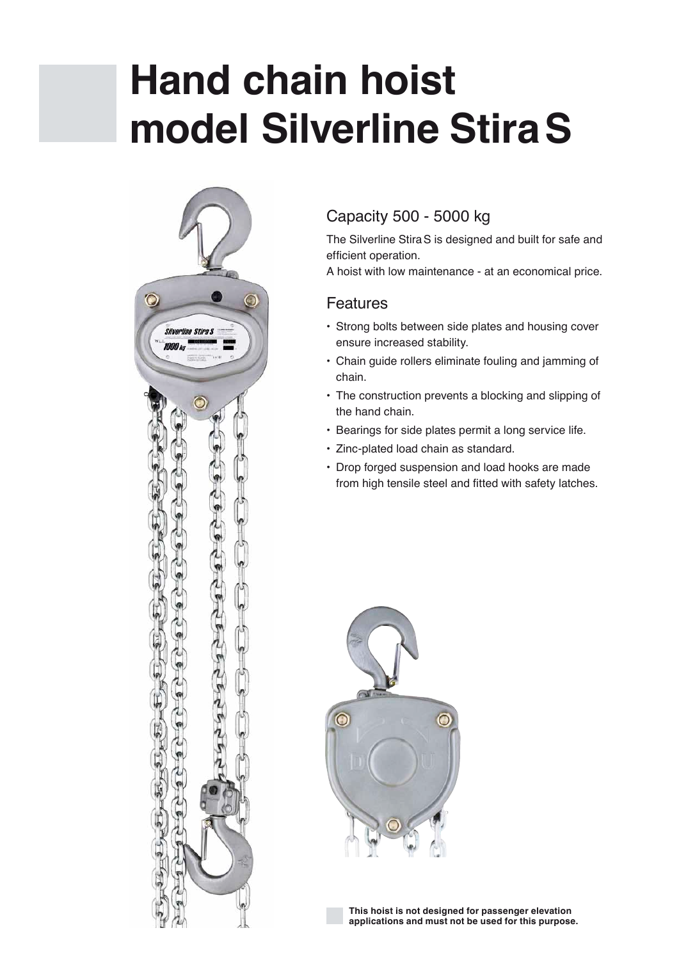# **Hand chain hoist model Silverline StiraS**



### Capacity 500 - 5000 kg

The Silverline StiraS is designed and built for safe and efficient operation.

A hoist with low maintenance - at an economical price.

#### Features

- Strong bolts between side plates and housing cover ensure increased stability.
- Chain guide rollers eliminate fouling and jamming of chain.
- The construction prevents a blocking and slipping of the hand chain.
- Bearings for side plates permit a long service life.
- Zinc-plated load chain as standard.
- Drop forged suspension and load hooks are made from high tensile steel and fitted with safety latches.



**This hoist is not designed for passenger elevation applications and must not be used for this purpose.**